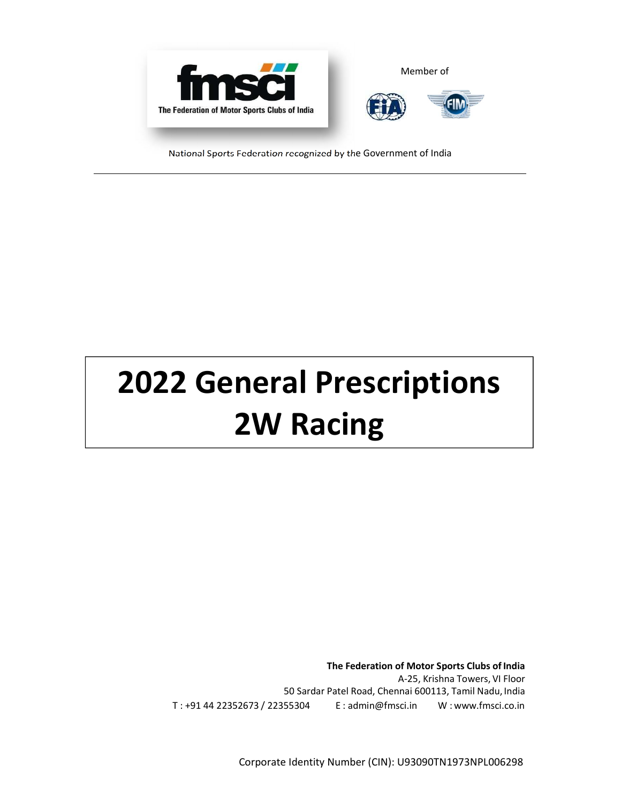

National Sports Federation recognized by the Government of India

# **2022 General Prescriptions 2W Racing**

**The Federation of Motor Sports Clubs of India**  A-25, Krishna Towers, VI Floor 50 Sardar Patel Road, Chennai 600113, Tamil Nadu, India T : +91 44 22352673 / 22355304 E : admin@fmsci.in W : www.fmsci.co.in

Corporate Identity Number (CIN): U93090TN1973NPL006298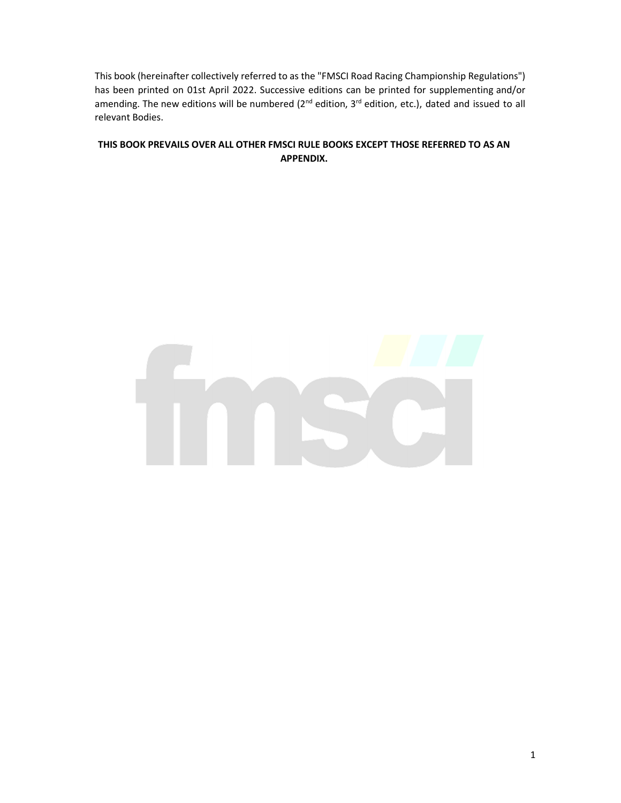This book (hereinafter collectively referred to as the "FMSCI Road Racing Championship Regulations") has been printed on 01st April 2022. Successive editions can be printed for supplementing and/or amending. The new editions will be numbered (2<sup>nd</sup> edition, 3<sup>rd</sup> edition, etc.), dated and issued to all relevant Bodies.

## **THIS BOOK PREVAILS OVER ALL OTHER FMSCI RULE BOOKS EXCEPT THOSE REFERRED TO AS AN APPENDIX.**

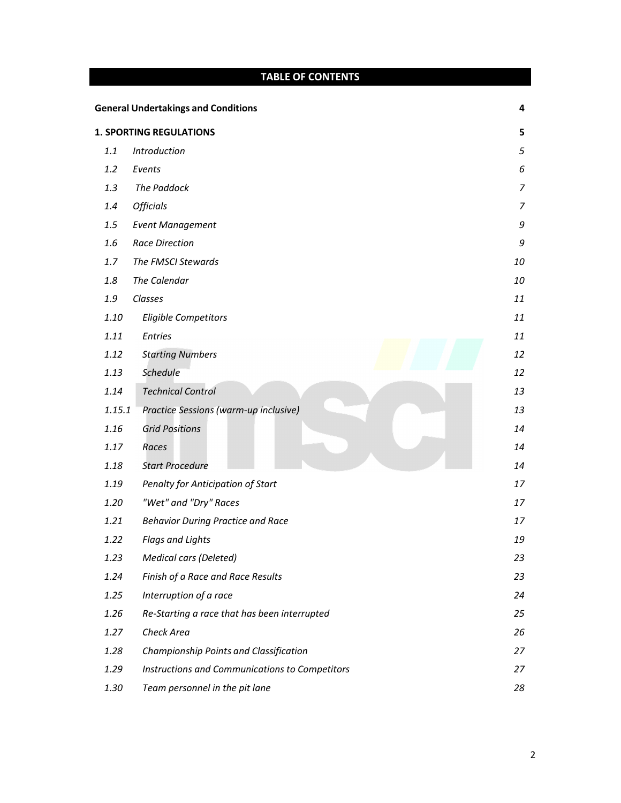|        | <b>TABLE OF CONTENTS</b>                       |    |
|--------|------------------------------------------------|----|
|        | <b>General Undertakings and Conditions</b>     | 4  |
|        | <b>1. SPORTING REGULATIONS</b>                 | 5  |
| 1.1    | Introduction                                   | 5  |
| 1.2    | Events                                         | 6  |
| 1.3    | <b>The Paddock</b>                             | 7  |
| 1.4    | <b>Officials</b>                               | 7  |
| 1.5    | <b>Event Management</b>                        | 9  |
| 1.6    | <b>Race Direction</b>                          | 9  |
| 1.7    | The FMSCI Stewards                             | 10 |
| 1.8    | The Calendar                                   | 10 |
| 1.9    | Classes                                        | 11 |
| 1.10   | <b>Eligible Competitors</b>                    | 11 |
| 1.11   | <b>Entries</b>                                 | 11 |
| 1.12   | <b>Starting Numbers</b>                        | 12 |
| 1.13   | <b>Schedule</b>                                | 12 |
| 1.14   | <b>Technical Control</b>                       | 13 |
| 1.15.1 | Practice Sessions (warm-up inclusive)          | 13 |
| 1.16   | <b>Grid Positions</b>                          | 14 |
| 1.17   | Races                                          | 14 |
| 1.18   | <b>Start Procedure</b>                         | 14 |
| 1.19   | Penalty for Anticipation of Start              | 17 |
| 1.20   | "Wet" and "Dry" Races                          | 17 |
| 1.21   | <b>Behavior During Practice and Race</b>       | 17 |
| 1.22   | <b>Flags and Lights</b>                        | 19 |
| 1.23   | Medical cars (Deleted)                         | 23 |
| 1.24   | Finish of a Race and Race Results              | 23 |
| 1.25   | Interruption of a race                         | 24 |
| 1.26   | Re-Starting a race that has been interrupted   | 25 |
| 1.27   | Check Area                                     | 26 |
| 1.28   | Championship Points and Classification         | 27 |
| 1.29   | Instructions and Communications to Competitors | 27 |
| 1.30   | Team personnel in the pit lane                 | 28 |
|        |                                                |    |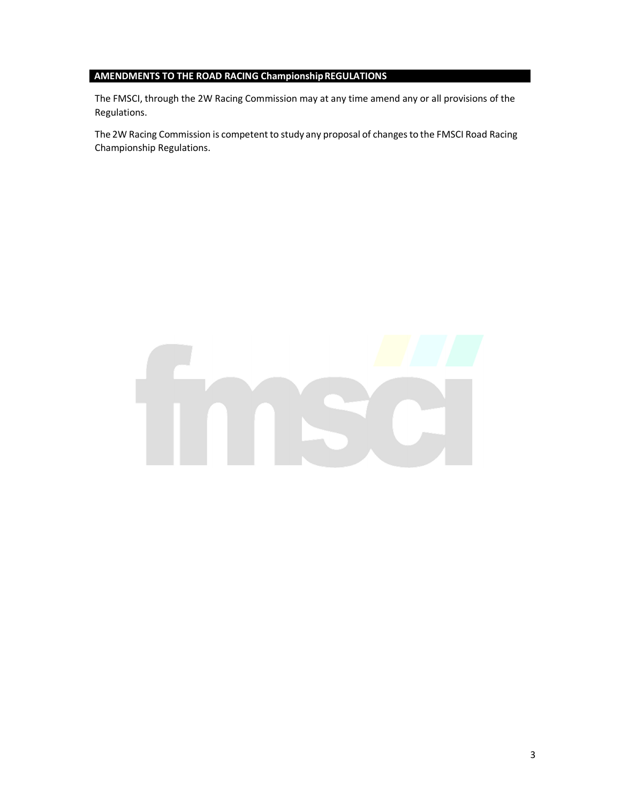# **AMENDMENTS TO THE ROAD RACING Championship REGULATIONS**

The FMSCI, through the 2W Racing Commission may at any time amend any or all provisions of the Regulations.

The 2W Racing Commission is competent to study any proposal of changes to the FMSCI Road Racing Championship Regulations.

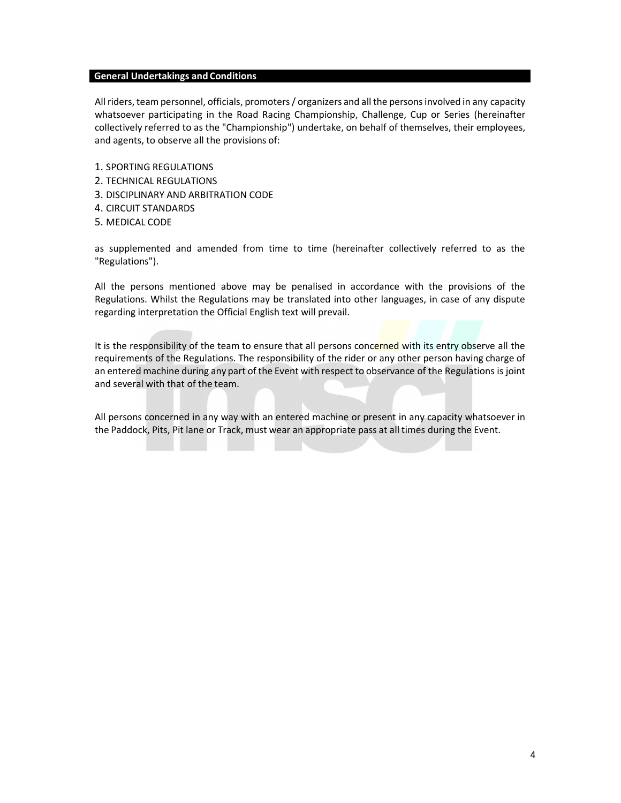#### **General Undertakings and Conditions**

All riders, team personnel, officials, promoters / organizers and all the persons involved in any capacity whatsoever participating in the Road Racing Championship, Challenge, Cup or Series (hereinafter collectively referred to as the "Championship") undertake, on behalf of themselves, their employees, and agents, to observe all the provisions of:

- 1. SPORTING REGULATIONS
- 2. TECHNICAL REGULATIONS
- 3. DISCIPLINARY AND ARBITRATION CODE
- 4. CIRCUIT STANDARDS
- 5. MEDICAL CODE

as supplemented and amended from time to time (hereinafter collectively referred to as the "Regulations").

All the persons mentioned above may be penalised in accordance with the provisions of the Regulations. Whilst the Regulations may be translated into other languages, in case of any dispute regarding interpretation the Official English text will prevail.

It is the responsibility of the team to ensure that all persons concerned with its entry observe all the requirements of the Regulations. The responsibility of the rider or any other person having charge of an entered machine during any part of the Event with respect to observance of the Regulations is joint and several with that of the team.

All persons concerned in any way with an entered machine or present in any capacity whatsoever in the Paddock, Pits, Pit lane or Track, must wear an appropriate pass at all times during the Event.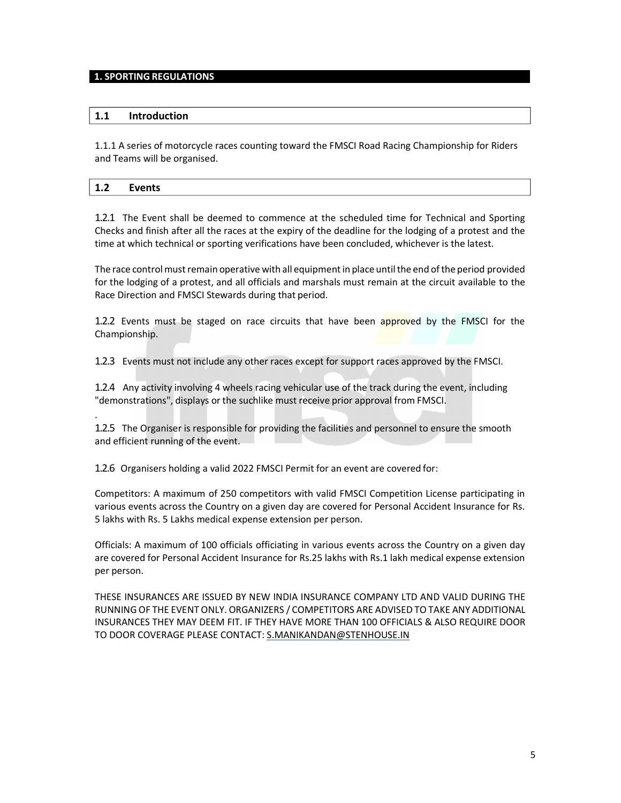#### **1. SPORTING REGULATIONS**

#### **1.1 Introduction**

.

1.1.1 A series of motorcycle races counting toward the FMSCI Road Racing Championship for Riders and Teams will be organised.

# **1.2 Events**

1.2.1 The Event shall be deemed to commence at the scheduled time for Technical and Sporting Checks and finish after all the races at the expiry of the deadline for the lodging of a protest and the time at which technical or sporting verifications have been concluded, whichever is the latest.

The race control must remain operative with all equipment in place until the end of the period provided for the lodging of a protest, and all officials and marshals must remain at the circuit available to the Race Direction and FMSCI Stewards during that period.

1.2.2 Events must be staged on race circuits that have been approved by the FMSCI for the Championship.

1.2.3 Events must not include any other races except for support races approved by the FMSCI.

1.2.4 Any activity involving 4 wheels racing vehicular use of the track during the event, including "demonstrations", displays or the suchlike must receive prior approval from FMSCI.

1.2.5 The Organiser is responsible for providing the facilities and personnel to ensure the smooth and efficient running of the event.

1.2.6 Organisers holding a valid 2022 FMSCI Permit for an event are covered for:

Competitors: A maximum of 250 competitors with valid FMSCI Competition License participating in various events across the Country on a given day are covered for Personal Accident Insurance for Rs. 5 lakhs with Rs. 5 Lakhs medical expense extension per person.

Officials: A maximum of 100 officials officiating in various events across the Country on a given day are covered for Personal Accident Insurance for Rs.25 lakhs with Rs.1 lakh medical expense extension per person.

THESE INSURANCES ARE ISSUED BY NEW INDIA INSURANCE COMPANY LTD AND VALID DURING THE RUNNING OF THE EVENT ONLY. ORGANIZERS / COMPETITORS ARE ADVISED TO TAKE ANY ADDITIONAL INSURANCES THEY MAY DEEM FIT. IF THEY HAVE MORE THAN 100 OFFICIALS & ALSO REQUIRE DOOR TO DOOR COVERAGE PLEASE CONTACT: S.MANIKANDAN@STENHOUSE.IN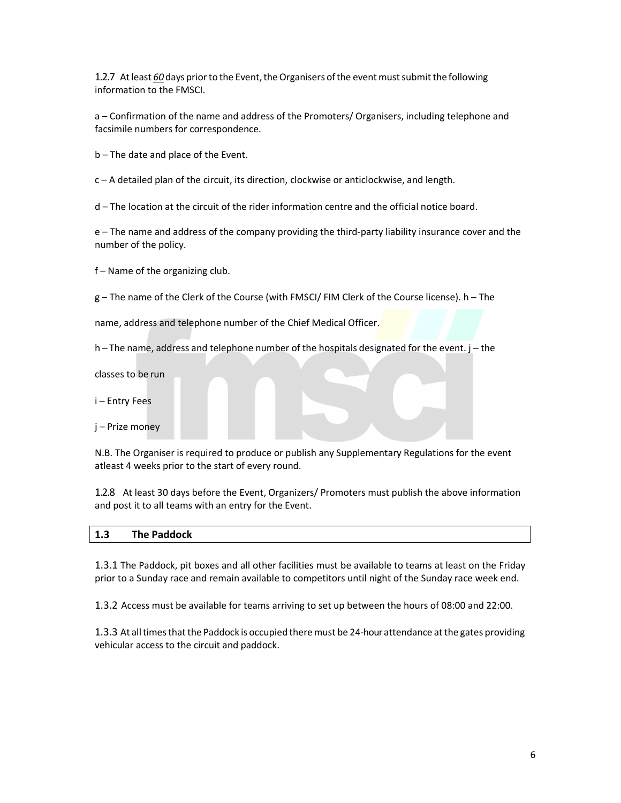1.2.7 At least *60* days prior to the Event, the Organisers of the event must submit the following information to the FMSCI.

a – Confirmation of the name and address of the Promoters/ Organisers, including telephone and facsimile numbers for correspondence.

b – The date and place of the Event.

c – A detailed plan of the circuit, its direction, clockwise or anticlockwise, and length.

d – The location at the circuit of the rider information centre and the official notice board.

e – The name and address of the company providing the third-party liability insurance cover and the number of the policy.

f – Name of the organizing club.

g – The name of the Clerk of the Course (with FMSCI/ FIM Clerk of the Course license). h – The

name, address and telephone number of the Chief Medical Officer.

h – The name, address and telephone number of the hospitals designated for the event. j – the

classes to be run

i – Entry Fees

j – Prize money

N.B. The Organiser is required to produce or publish any Supplementary Regulations for the event atleast 4 weeks prior to the start of every round.

1.2.8 At least 30 days before the Event, Organizers/ Promoters must publish the above information and post it to all teams with an entry for the Event.

| - - | <b>The Paddock</b> |
|-----|--------------------|
| 1.3 |                    |
|     |                    |

1.3.1 The Paddock, pit boxes and all other facilities must be available to teams at least on the Friday prior to a Sunday race and remain available to competitors until night of the Sunday race week end.

1.3.2 Access must be available for teams arriving to set up between the hours of 08:00 and 22:00.

1.3.3 At all times that the Paddock is occupied there must be 24-hour attendance at the gates providing vehicular access to the circuit and paddock.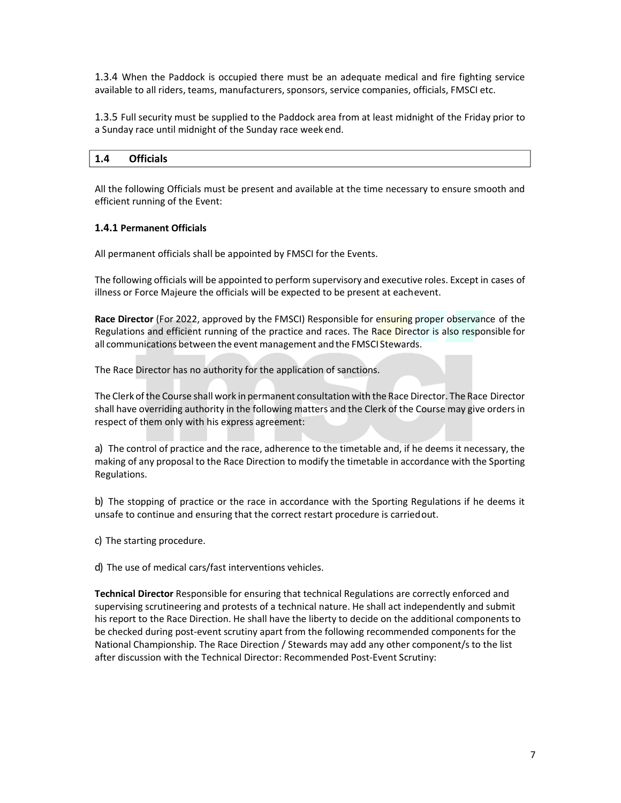1.3.4 When the Paddock is occupied there must be an adequate medical and fire fighting service available to all riders, teams, manufacturers, sponsors, service companies, officials, FMSCI etc.

1.3.5 Full security must be supplied to the Paddock area from at least midnight of the Friday prior to a Sunday race until midnight of the Sunday race week end.

## **1.4 Officials**

All the following Officials must be present and available at the time necessary to ensure smooth and efficient running of the Event:

## **1.4.1 Permanent Officials**

All permanent officials shall be appointed by FMSCI for the Events.

The following officials will be appointed to perform supervisory and executive roles. Except in cases of illness or Force Majeure the officials will be expected to be present at each event.

**Race Director** (For 2022, approved by the FMSCI) Responsible for ensuring proper observance of the Regulations and efficient running of the practice and races. The Race Director is also responsible for all communications between the event management and the FMSCI Stewards.

The Race Director has no authority for the application of sanctions.

The Clerk of the Course shall work in permanent consultation with the Race Director. The Race Director shall have overriding authority in the following matters and the Clerk of the Course may give orders in respect of them only with his express agreement:

a) The control of practice and the race, adherence to the timetable and, if he deems it necessary, the making of any proposal to the Race Direction to modify the timetable in accordance with the Sporting Regulations.

b) The stopping of practice or the race in accordance with the Sporting Regulations if he deems it unsafe to continue and ensuring that the correct restart procedure is carried out.

c) The starting procedure.

d) The use of medical cars/fast interventions vehicles.

**Technical Director** Responsible for ensuring that technical Regulations are correctly enforced and supervising scrutineering and protests of a technical nature. He shall act independently and submit his report to the Race Direction. He shall have the liberty to decide on the additional components to be checked during post-event scrutiny apart from the following recommended components for the National Championship. The Race Direction / Stewards may add any other component/s to the list after discussion with the Technical Director: Recommended Post-Event Scrutiny: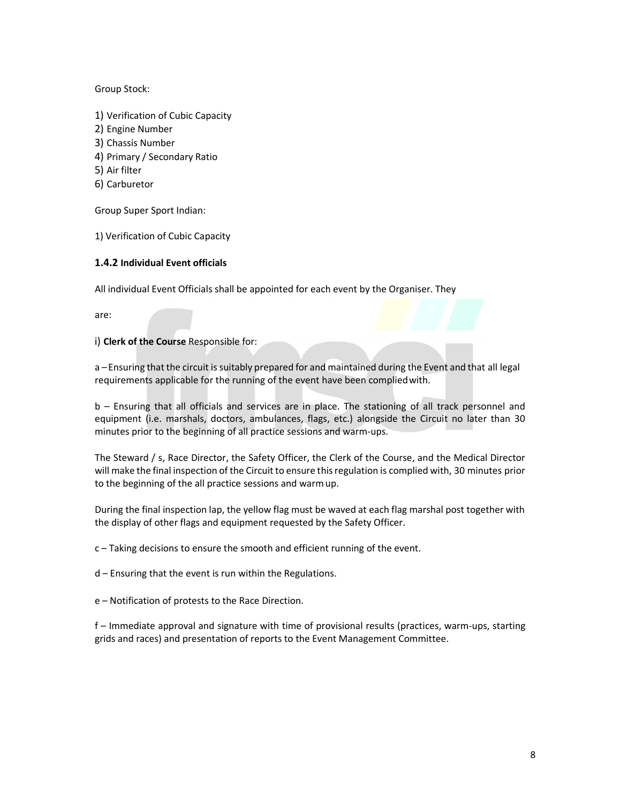## Group Stock:

- 1) Verification of Cubic Capacity
- 2) Engine Number
- 3) Chassis Number
- 4) Primary / Secondary Ratio
- 5) Air filter
- 6) Carburetor

Group Super Sport Indian:

1) Verification of Cubic Capacity

## **1.4.2 Individual Event officials**

All individual Event Officials shall be appointed for each event by the Organiser. They

are:

i) **Clerk of the Course** Responsible for:

a – Ensuring that the circuit is suitably prepared for and maintained during the Event and that all legal requirements applicable for the running of the event have been complied with.

b – Ensuring that all officials and services are in place. The stationing of all track personnel and equipment (i.e. marshals, doctors, ambulances, flags, etc.) alongside the Circuit no later than 30 minutes prior to the beginning of all practice sessions and warm-ups.

The Steward / s, Race Director, the Safety Officer, the Clerk of the Course, and the Medical Director will make the final inspection of the Circuit to ensure this regulation is complied with, 30 minutes prior to the beginning of the all practice sessions and warm up.

During the final inspection lap, the yellow flag must be waved at each flag marshal post together with the display of other flags and equipment requested by the Safety Officer.

c – Taking decisions to ensure the smooth and efficient running of the event.

d – Ensuring that the event is run within the Regulations.

e – Notification of protests to the Race Direction.

f – Immediate approval and signature with time of provisional results (practices, warm-ups, starting grids and races) and presentation of reports to the Event Management Committee.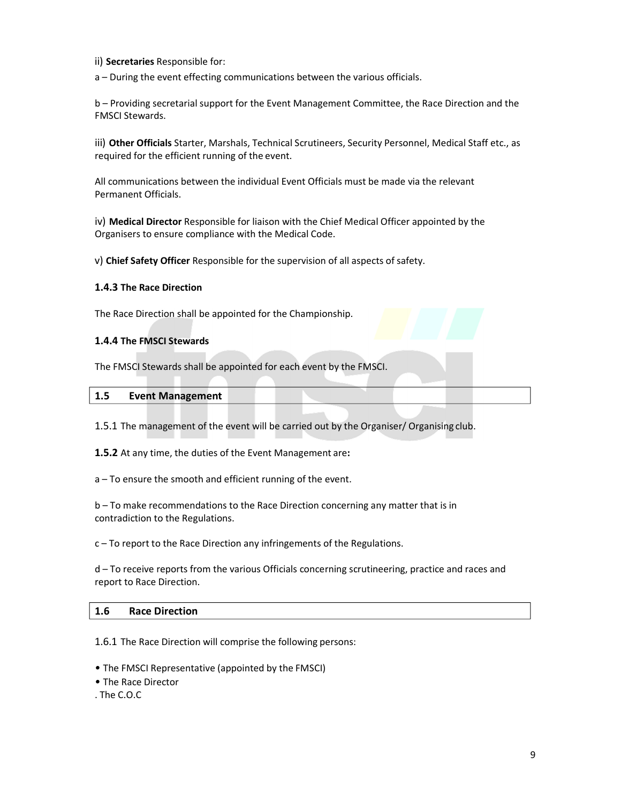ii) **Secretaries** Responsible for:

a – During the event effecting communications between the various officials.

b – Providing secretarial support for the Event Management Committee, the Race Direction and the FMSCI Stewards.

iii) **Other Officials** Starter, Marshals, Technical Scrutineers, Security Personnel, Medical Staff etc., as required for the efficient running of the event.

All communications between the individual Event Officials must be made via the relevant Permanent Officials.

iv) **Medical Director** Responsible for liaison with the Chief Medical Officer appointed by the Organisers to ensure compliance with the Medical Code.

v) **Chief Safety Officer** Responsible for the supervision of all aspects of safety.

## **1.4.3 The Race Direction**

The Race Direction shall be appointed for the Championship.

## **1.4.4 The FMSCI Stewards**

The FMSCI Stewards shall be appointed for each event by the FMSCI.

## **1.5 Event Management**

1.5.1 The management of the event will be carried out by the Organiser/ Organising club.

**1.5.2** At any time, the duties of the Event Management are**:** 

a – To ensure the smooth and efficient running of the event.

b – To make recommendations to the Race Direction concerning any matter that is in contradiction to the Regulations.

c – To report to the Race Direction any infringements of the Regulations.

d – To receive reports from the various Officials concerning scrutineering, practice and races and report to Race Direction.

## **1.6 Race Direction**

1.6.1 The Race Direction will comprise the following persons:

*•* The FMSCI Representative (appointed by the FMSCI)

*•* The Race Director

. The C.O.C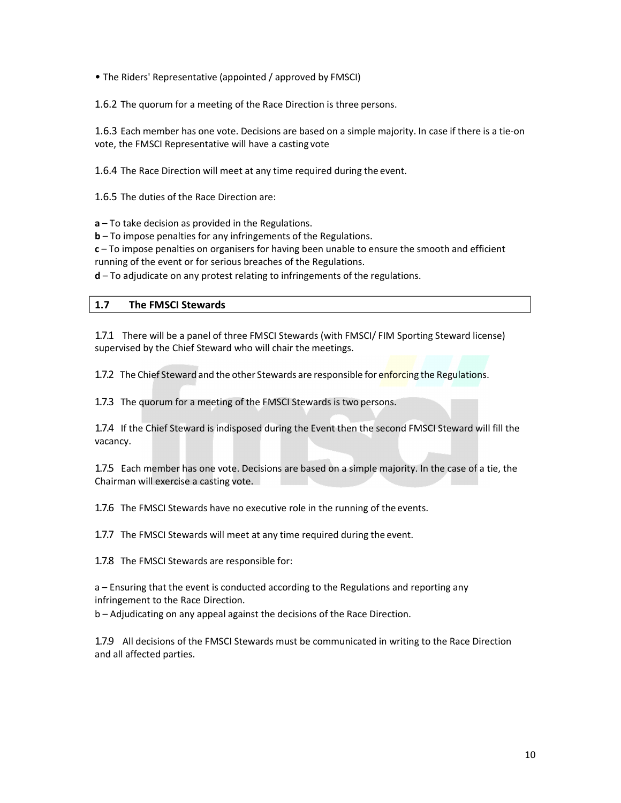*•* The Riders' Representative (appointed / approved by FMSCI)

1.6.2 The quorum for a meeting of the Race Direction is three persons.

1.6.3 Each member has one vote. Decisions are based on a simple majority. In case if there is a tie-on vote, the FMSCI Representative will have a casting vote

1.6.4 The Race Direction will meet at any time required during the event.

1.6.5 The duties of the Race Direction are:

**a** – To take decision as provided in the Regulations.

**b** – To impose penalties for any infringements of the Regulations.

**c** – To impose penalties on organisers for having been unable to ensure the smooth and efficient running of the event or for serious breaches of the Regulations.

**d** – To adjudicate on any protest relating to infringements of the regulations.

## **1.7 The FMSCI Stewards**

1.7.1 There will be a panel of three FMSCI Stewards (with FMSCI/ FIM Sporting Steward license) supervised by the Chief Steward who will chair the meetings.

1.7.2 The Chief Steward and the other Stewards are responsible for enforcing the Regulations.

1.7.3 The quorum for a meeting of the FMSCI Stewards is two persons.

1.7.4 If the Chief Steward is indisposed during the Event then the second FMSCI Steward will fill the vacancy.

1.7.5 Each member has one vote. Decisions are based on a simple majority. In the case of a tie, the Chairman will exercise a casting vote.

1.7.6 The FMSCI Stewards have no executive role in the running of the events.

1.7.7 The FMSCI Stewards will meet at any time required during the event.

1.7.8 The FMSCI Stewards are responsible for:

a – Ensuring that the event is conducted according to the Regulations and reporting any infringement to the Race Direction.

b – Adjudicating on any appeal against the decisions of the Race Direction.

1.7.9 All decisions of the FMSCI Stewards must be communicated in writing to the Race Direction and all affected parties.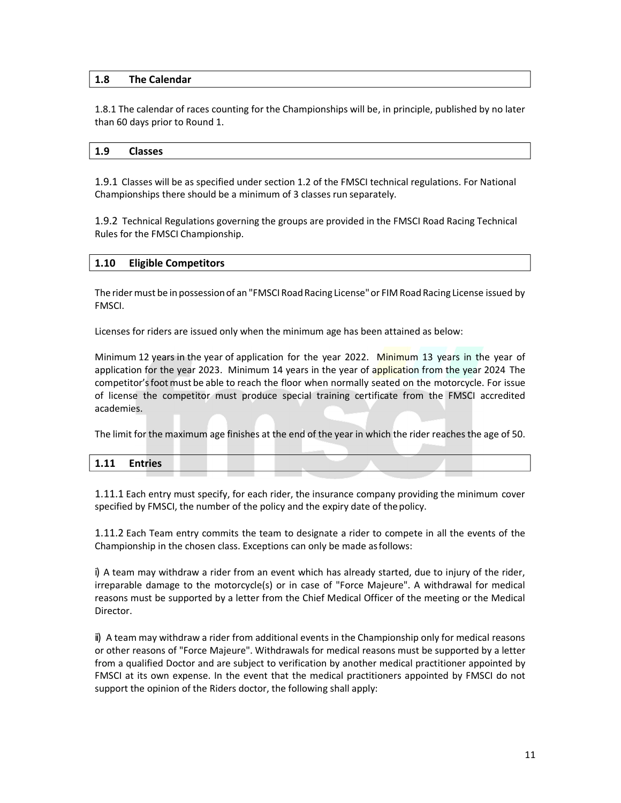## **1.8 The Calendar**

1.8.1 The calendar of races counting for the Championships will be, in principle, published by no later than 60 days prior to Round 1.

#### **1.9 Classes**

1.9.1 Classes will be as specified under section 1.2 of the FMSCI technical regulations. For National Championships there should be a minimum of 3 classes run separately.

1.9.2 Technical Regulations governing the groups are provided in the FMSCI Road Racing Technical Rules for the FMSCI Championship.

#### **1.10 Eligible Competitors**

The rider must be in possession of an "FMSCI Road Racing License" or FIM Road Racing License issued by FMSCI.

Licenses for riders are issued only when the minimum age has been attained as below:

Minimum 12 years in the year of application for the year 2022. Minimum 13 years in the year of application for the year 2023. Minimum 14 years in the year of application from the year 2024 The competitor's foot must be able to reach the floor when normally seated on the motorcycle. For issue of license the competitor must produce special training certificate from the FMSCI accredited academies.

The limit for the maximum age finishes at the end of the year in which the rider reaches the age of 50.

| $-1.11$<br><b>T.TT</b> | <b>Entries</b> |  |  |  |
|------------------------|----------------|--|--|--|
|                        |                |  |  |  |

1.11.1 Each entry must specify, for each rider, the insurance company providing the minimum cover specified by FMSCI, the number of the policy and the expiry date of the policy.

1.11.2 Each Team entry commits the team to designate a rider to compete in all the events of the Championship in the chosen class. Exceptions can only be made as follows:

i) A team may withdraw a rider from an event which has already started, due to injury of the rider, irreparable damage to the motorcycle(s) or in case of "Force Majeure". A withdrawal for medical reasons must be supported by a letter from the Chief Medical Officer of the meeting or the Medical Director.

ii) A team may withdraw a rider from additional events in the Championship only for medical reasons or other reasons of "Force Majeure". Withdrawals for medical reasons must be supported by a letter from a qualified Doctor and are subject to verification by another medical practitioner appointed by FMSCI at its own expense. In the event that the medical practitioners appointed by FMSCI do not support the opinion of the Riders doctor, the following shall apply: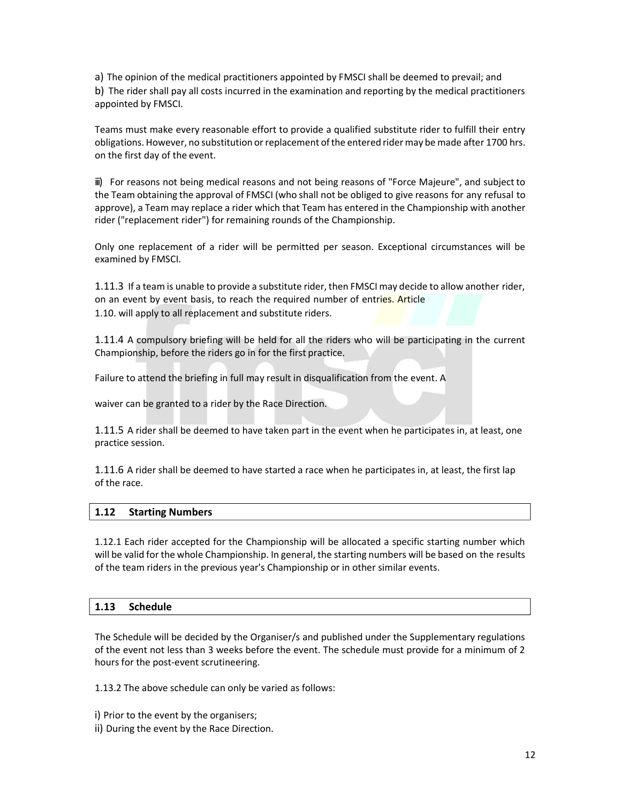a) The opinion of the medical practitioners appointed by FMSCI shall be deemed to prevail; and b) The rider shall pay all costs incurred in the examination and reporting by the medical practitioners appointed by FMSCI.

Teams must make every reasonable effort to provide a qualified substitute rider to fulfill their entry obligations. However, no substitution or replacement of the entered rider may be made after 1700 hrs. on the first day of the event.

iii) For reasons not being medical reasons and not being reasons of "Force Majeure", and subject to the Team obtaining the approval of FMSCI (who shall not be obliged to give reasons for any refusal to approve), a Team may replace a rider which that Team has entered in the Championship with another rider ("replacement rider") for remaining rounds of the Championship.

Only one replacement of a rider will be permitted per season. Exceptional circumstances will be examined by FMSCI.

1.11.3 If a team is unable to provide a substitute rider, then FMSCI may decide to allow another rider, on an event by event basis, to reach the required number of entries. Article 1.10. will apply to all replacement and substitute riders.

1.11.4 A compulsory briefing will be held for all the riders who will be participating in the current Championship, before the riders go in for the first practice.

Failure to attend the briefing in full may result in disqualification from the event. A

waiver can be granted to a rider by the Race Direction.

1.11.5 A rider shall be deemed to have taken part in the event when he participates in, at least, one practice session.

1.11.6 A rider shall be deemed to have started a race when he participates in, at least, the first lap of the race.

## **1.12 Starting Numbers**

1.12.1 Each rider accepted for the Championship will be allocated a specific starting number which will be valid for the whole Championship. In general, the starting numbers will be based on the results of the team riders in the previous year's Championship or in other similar events.

## **1.13 Schedule**

The Schedule will be decided by the Organiser/s and published under the Supplementary regulations of the event not less than 3 weeks before the event. The schedule must provide for a minimum of 2 hours for the post-event scrutineering.

1.13.2 The above schedule can only be varied as follows:

- i) Prior to the event by the organisers;
- ii) During the event by the Race Direction.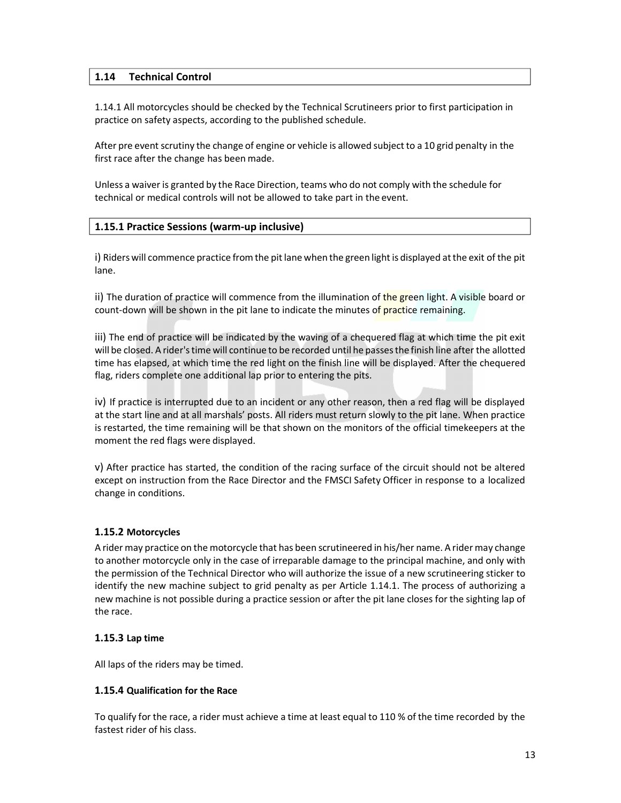## **1.14 Technical Control**

1.14.1 All motorcycles should be checked by the Technical Scrutineers prior to first participation in practice on safety aspects, according to the published schedule.

After pre event scrutiny the change of engine or vehicle is allowed subject to a 10 grid penalty in the first race after the change has been made.

Unless a waiver is granted by the Race Direction, teams who do not comply with the schedule for technical or medical controls will not be allowed to take part in the event.

## **1.15.1 Practice Sessions (warm-up inclusive)**

i) Riders will commence practice from the pit lane when the green light is displayed at the exit of the pit lane.

ii) The duration of practice will commence from the illumination of the green light. A visible board or count-down will be shown in the pit lane to indicate the minutes of **practice remaining.** 

iii) The end of practice will be indicated by the waving of a chequered flag at which time the pit exit will be closed. A rider's time will continue to be recorded until he passes the finish line after the allotted time has elapsed, at which time the red light on the finish line will be displayed. After the chequered flag, riders complete one additional lap prior to entering the pits.

iv) If practice is interrupted due to an incident or any other reason, then a red flag will be displayed at the start line and at all marshals' posts. All riders must return slowly to the pit lane. When practice is restarted, the time remaining will be that shown on the monitors of the official timekeepers at the moment the red flags were displayed.

v) After practice has started, the condition of the racing surface of the circuit should not be altered except on instruction from the Race Director and the FMSCI Safety Officer in response to a localized change in conditions.

## **1.15.2 Motorcycles**

A rider may practice on the motorcycle that has been scrutineered in his/her name. A rider may change to another motorcycle only in the case of irreparable damage to the principal machine, and only with the permission of the Technical Director who will authorize the issue of a new scrutineering sticker to identify the new machine subject to grid penalty as per Article 1.14.1. The process of authorizing a new machine is not possible during a practice session or after the pit lane closes for the sighting lap of the race.

## **1.15.3 Lap time**

All laps of the riders may be timed.

## **1.15.4 Qualification for the Race**

To qualify for the race, a rider must achieve a time at least equal to 110 % of the time recorded by the fastest rider of his class.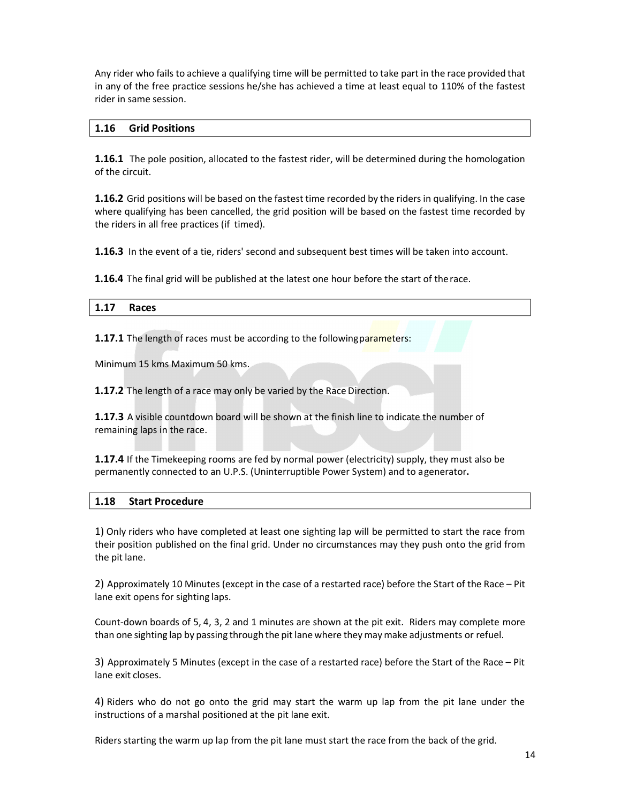Any rider who fails to achieve a qualifying time will be permitted to take part in the race provided that in any of the free practice sessions he/she has achieved a time at least equal to 110% of the fastest rider in same session.

## **1.16 Grid Positions**

**1.16.1** The pole position, allocated to the fastest rider, will be determined during the homologation of the circuit.

**1.16.2** Grid positions will be based on the fastest time recorded by the riders in qualifying. In the case where qualifying has been cancelled, the grid position will be based on the fastest time recorded by the riders in all free practices (if timed).

**1.16.3** In the event of a tie, riders' second and subsequent best times will be taken into account.

**1.16.4** The final grid will be published at the latest one hour before the start of the race.

| $11$<br>-<br>. |  |
|----------------|--|
|                |  |

**1.17.1** The length of races must be according to the following parameters:

Minimum 15 kms Maximum 50 kms.

**1.17.2** The length of a race may only be varied by the Race Direction.

**1.17.3** A visible countdown board will be shown at the finish line to indicate the number of remaining laps in the race.

**1.17.4** If the Timekeeping rooms are fed by normal power (electricity) supply, they must also be permanently connected to an U.P.S. (Uninterruptible Power System) and to a generator**.** 

## **1.18 Start Procedure**

1) Only riders who have completed at least one sighting lap will be permitted to start the race from their position published on the final grid. Under no circumstances may they push onto the grid from the pit lane.

2) Approximately 10 Minutes (except in the case of a restarted race) before the Start of the Race – Pit lane exit opens for sighting laps.

Count-down boards of 5, 4, 3, 2 and 1 minutes are shown at the pit exit. Riders may complete more than one sighting lap by passing through the pit lane where they may make adjustments or refuel.

3) Approximately 5 Minutes (except in the case of a restarted race) before the Start of the Race – Pit lane exit closes.

4) Riders who do not go onto the grid may start the warm up lap from the pit lane under the instructions of a marshal positioned at the pit lane exit.

Riders starting the warm up lap from the pit lane must start the race from the back of the grid.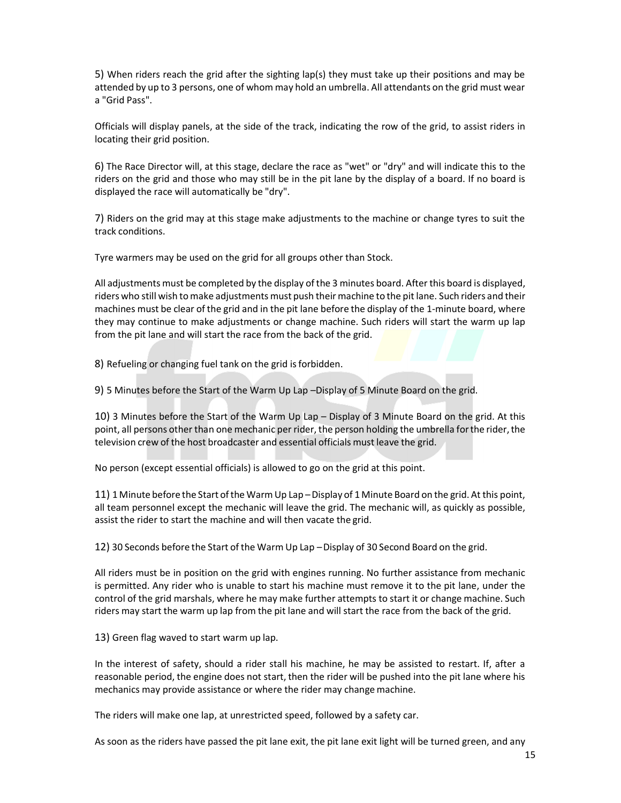5) When riders reach the grid after the sighting lap(s) they must take up their positions and may be attended by up to 3 persons, one of whom may hold an umbrella. All attendants on the grid must wear a "Grid Pass".

Officials will display panels, at the side of the track, indicating the row of the grid, to assist riders in locating their grid position.

6) The Race Director will, at this stage, declare the race as "wet" or "dry" and will indicate this to the riders on the grid and those who may still be in the pit lane by the display of a board. If no board is displayed the race will automatically be "dry".

7) Riders on the grid may at this stage make adjustments to the machine or change tyres to suit the track conditions.

Tyre warmers may be used on the grid for all groups other than Stock.

All adjustments must be completed by the display of the 3 minutes board. After this board is displayed, riders who still wish to make adjustments must push their machine to the pit lane. Such riders and their machines must be clear of the grid and in the pit lane before the display of the 1-minute board, where they may continue to make adjustments or change machine. Such riders will start the warm up lap from the pit lane and will start the race from the back of the grid.

8) Refueling or changing fuel tank on the grid is forbidden.

9) 5 Minutes before the Start of the Warm Up Lap – Display of 5 Minute Board on the grid.

10) 3 Minutes before the Start of the Warm Up Lap – Display of 3 Minute Board on the grid. At this point, all persons other than one mechanic per rider, the person holding the umbrella for the rider, the television crew of the host broadcaster and essential officials must leave the grid.

No person (except essential officials) is allowed to go on the grid at this point.

11) 1 Minute before the Start of the Warm Up Lap – Display of 1 Minute Board on the grid. At this point, all team personnel except the mechanic will leave the grid. The mechanic will, as quickly as possible, assist the rider to start the machine and will then vacate the grid.

12) 30 Seconds before the Start of the Warm Up Lap – Display of 30 Second Board on the grid.

All riders must be in position on the grid with engines running. No further assistance from mechanic is permitted. Any rider who is unable to start his machine must remove it to the pit lane, under the control of the grid marshals, where he may make further attempts to start it or change machine. Such riders may start the warm up lap from the pit lane and will start the race from the back of the grid.

13) Green flag waved to start warm up lap.

In the interest of safety, should a rider stall his machine, he may be assisted to restart. If, after a reasonable period, the engine does not start, then the rider will be pushed into the pit lane where his mechanics may provide assistance or where the rider may change machine.

The riders will make one lap, at unrestricted speed, followed by a safety car.

As soon as the riders have passed the pit lane exit, the pit lane exit light will be turned green, and any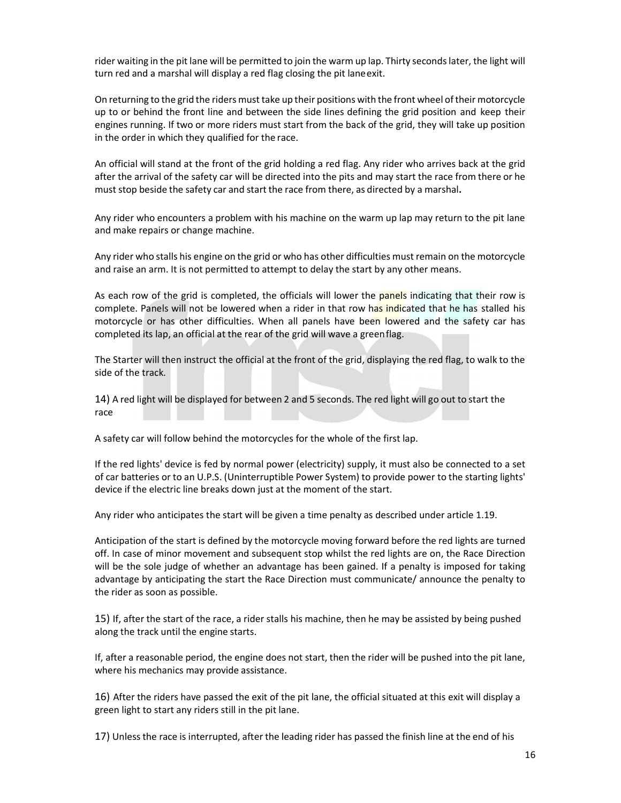rider waiting in the pit lane will be permitted to join the warm up lap. Thirty seconds later, the light will turn red and a marshal will display a red flag closing the pit lane exit.

On returning to the grid the riders must take up their positions with the front wheel of their motorcycle up to or behind the front line and between the side lines defining the grid position and keep their engines running. If two or more riders must start from the back of the grid, they will take up position in the order in which they qualified for the race.

An official will stand at the front of the grid holding a red flag. Any rider who arrives back at the grid after the arrival of the safety car will be directed into the pits and may start the race from there or he must stop beside the safety car and start the race from there, as directed by a marshal**.** 

Any rider who encounters a problem with his machine on the warm up lap may return to the pit lane and make repairs or change machine.

Any rider who stalls his engine on the grid or who has other difficulties must remain on the motorcycle and raise an arm. It is not permitted to attempt to delay the start by any other means.

As each row of the grid is completed, the officials will lower the panels indicating that their row is complete. Panels will not be lowered when a rider in that row has indicated that he has stalled his motorcycle or has other difficulties. When all panels have been lowered and the safety car has completed its lap, an official at the rear of the grid will wave a green flag.

The Starter will then instruct the official at the front of the grid, displaying the red flag, to walk to the side of the track.

14) A red light will be displayed for between 2 and 5 seconds. The red light will go out to start the race

A safety car will follow behind the motorcycles for the whole of the first lap.

If the red lights' device is fed by normal power (electricity) supply, it must also be connected to a set of car batteries or to an U.P.S. (Uninterruptible Power System) to provide power to the starting lights' device if the electric line breaks down just at the moment of the start.

Any rider who anticipates the start will be given a time penalty as described under article 1.19.

Anticipation of the start is defined by the motorcycle moving forward before the red lights are turned off. In case of minor movement and subsequent stop whilst the red lights are on, the Race Direction will be the sole judge of whether an advantage has been gained. If a penalty is imposed for taking advantage by anticipating the start the Race Direction must communicate/ announce the penalty to the rider as soon as possible.

15) If, after the start of the race, a rider stalls his machine, then he may be assisted by being pushed along the track until the engine starts.

If, after a reasonable period, the engine does not start, then the rider will be pushed into the pit lane, where his mechanics may provide assistance.

16) After the riders have passed the exit of the pit lane, the official situated at this exit will display a green light to start any riders still in the pit lane.

17) Unless the race is interrupted, after the leading rider has passed the finish line at the end of his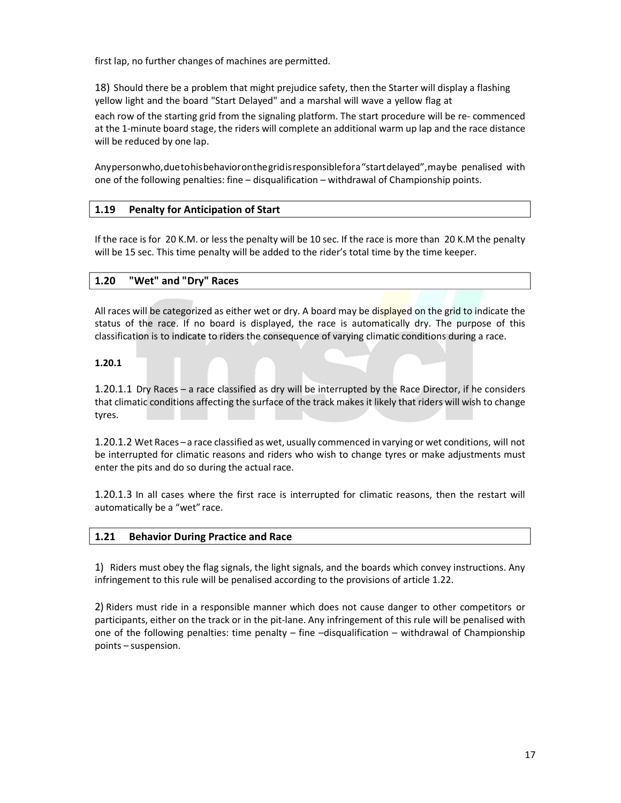first lap, no further changes of machines are permitted.

18) Should there be a problem that might prejudice safety, then the Starter will display a flashing yellow light and the board "Start Delayed" and a marshal will wave a yellow flag at each row of the starting grid from the signaling platform. The start procedure will be re- commenced at the 1-minute board stage, the riders will complete an additional warm up lap and the race distance will be reduced by one lap.

Any person who, due to his behavior on the grid is responsible for a "start delayed", may be penalised with one of the following penalties: fine – disqualification – withdrawal of Championship points.

## **1.19 Penalty for Anticipation of Start**

If the race is for 20 K.M. or less the penalty will be 10 sec. If the race is more than 20 K.M the penalty will be 15 sec. This time penalty will be added to the rider's total time by the time keeper.

## **1.20 "Wet" and "Dry" Races**

All races will be categorized as either wet or dry. A board may be displayed on the grid to indicate the status of the race. If no board is displayed, the race is automatically dry. The purpose of this classification is to indicate to riders the consequence of varying climatic conditions during a race.

## **1.20.1**

1.20.1.1 Dry Races – a race classified as dry will be interrupted by the Race Director, if he considers that climatic conditions affecting the surface of the track makes it likely that riders will wish to change tyres.

1.20.1.2 Wet Races – a race classified as wet, usually commenced in varying or wet conditions, will not be interrupted for climatic reasons and riders who wish to change tyres or make adjustments must enter the pits and do so during the actual race.

1.20.1.3 In all cases where the first race is interrupted for climatic reasons, then the restart will automatically be a "wet" race.

## **1.21 Behavior During Practice and Race**

1) Riders must obey the flag signals, the light signals, and the boards which convey instructions. Any infringement to this rule will be penalised according to the provisions of article 1.22.

2) Riders must ride in a responsible manner which does not cause danger to other competitors or participants, either on the track or in the pit-lane. Any infringement of this rule will be penalised with one of the following penalties: time penalty – fine –disqualification – withdrawal of Championship points – suspension.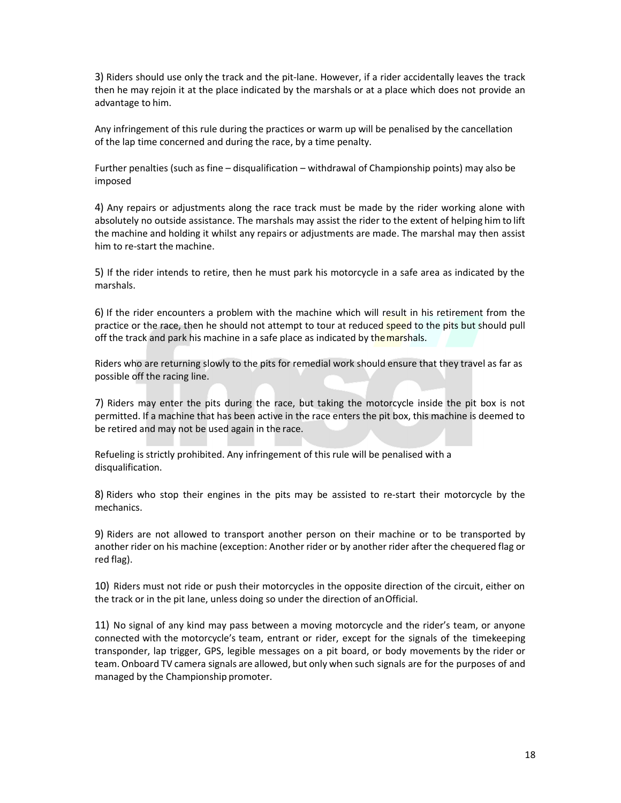3) Riders should use only the track and the pit-lane. However, if a rider accidentally leaves the track then he may rejoin it at the place indicated by the marshals or at a place which does not provide an advantage to him.

Any infringement of this rule during the practices or warm up will be penalised by the cancellation of the lap time concerned and during the race, by a time penalty.

Further penalties (such as fine – disqualification – withdrawal of Championship points) may also be imposed

4) Any repairs or adjustments along the race track must be made by the rider working alone with absolutely no outside assistance. The marshals may assist the rider to the extent of helping him to lift the machine and holding it whilst any repairs or adjustments are made. The marshal may then assist him to re-start the machine.

5) If the rider intends to retire, then he must park his motorcycle in a safe area as indicated by the marshals.

6) If the rider encounters a problem with the machine which will result in his retirement from the practice or the race, then he should not attempt to tour at reduced speed to the pits but should pull off the track and park his machine in a safe place as indicated by the marshals.

Riders who are returning slowly to the pits for remedial work should ensure that they travel as far as possible off the racing line.

7) Riders may enter the pits during the race, but taking the motorcycle inside the pit box is not permitted. If a machine that has been active in the race enters the pit box, this machine is deemed to be retired and may not be used again in the race.

Refueling is strictly prohibited. Any infringement of this rule will be penalised with a disqualification.

8) Riders who stop their engines in the pits may be assisted to re-start their motorcycle by the mechanics.

9) Riders are not allowed to transport another person on their machine or to be transported by another rider on his machine (exception: Another rider or by another rider after the chequered flag or red flag).

10) Riders must not ride or push their motorcycles in the opposite direction of the circuit, either on the track or in the pit lane, unless doing so under the direction of an Official.

11) No signal of any kind may pass between a moving motorcycle and the rider's team, or anyone connected with the motorcycle's team, entrant or rider, except for the signals of the timekeeping transponder, lap trigger, GPS, legible messages on a pit board, or body movements by the rider or team. Onboard TV camera signals are allowed, but only when such signals are for the purposes of and managed by the Championship promoter.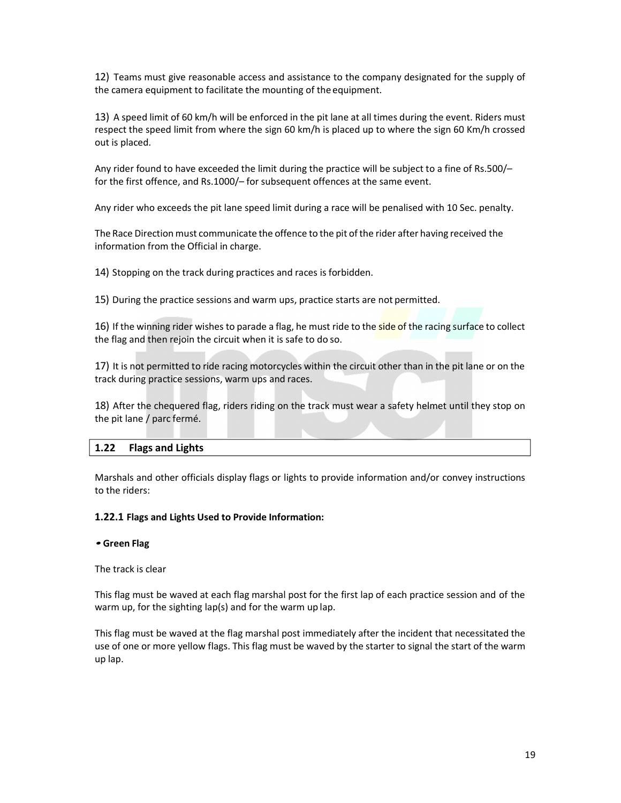12) Teams must give reasonable access and assistance to the company designated for the supply of the camera equipment to facilitate the mounting of the equipment.

13) A speed limit of 60 km/h will be enforced in the pit lane at all times during the event. Riders must respect the speed limit from where the sign 60 km/h is placed up to where the sign 60 Km/h crossed out is placed.

Any rider found to have exceeded the limit during the practice will be subject to a fine of Rs.500/– for the first offence, and Rs.1000/– for subsequent offences at the same event.

Any rider who exceeds the pit lane speed limit during a race will be penalised with 10 Sec. penalty.

The Race Direction must communicate the offence to the pit of the rider after having received the information from the Official in charge.

14) Stopping on the track during practices and races is forbidden.

15) During the practice sessions and warm ups, practice starts are not permitted.

16) If the winning rider wishes to parade a flag, he must ride to the side of the racing surface to collect the flag and then rejoin the circuit when it is safe to do so.

17) It is not permitted to ride racing motorcycles within the circuit other than in the pit lane or on the track during practice sessions, warm ups and races.

18) After the chequered flag, riders riding on the track must wear a safety helmet until they stop on the pit lane / parc fermé.

## **1.22 Flags and Lights**

Marshals and other officials display flags or lights to provide information and/or convey instructions to the riders:

## **1.22.1 Flags and Lights Used to Provide Information:**

#### **• Green Flag**

The track is clear

This flag must be waved at each flag marshal post for the first lap of each practice session and of the warm up, for the sighting lap(s) and for the warm up lap.

This flag must be waved at the flag marshal post immediately after the incident that necessitated the use of one or more yellow flags. This flag must be waved by the starter to signal the start of the warm up lap.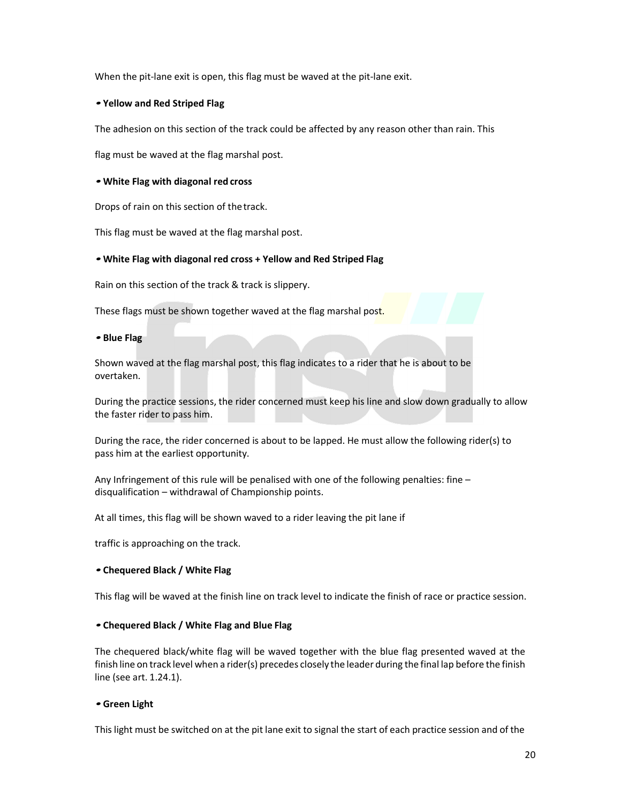When the pit-lane exit is open, this flag must be waved at the pit-lane exit.

#### **• Yellow and Red Striped Flag**

The adhesion on this section of the track could be affected by any reason other than rain. This

flag must be waved at the flag marshal post.

#### **• White Flag with diagonal red cross**

Drops of rain on this section of the track.

This flag must be waved at the flag marshal post.

#### **• White Flag with diagonal red cross + Yellow and Red Striped Flag**

Rain on this section of the track & track is slippery.

These flags must be shown together waved at the flag marshal post.

**• Blue Flag** 

Shown waved at the flag marshal post, this flag indicates to a rider that he is about to be overtaken.

During the practice sessions, the rider concerned must keep his line and slow down gradually to allow the faster rider to pass him.

During the race, the rider concerned is about to be lapped. He must allow the following rider(s) to pass him at the earliest opportunity.

Any Infringement of this rule will be penalised with one of the following penalties: fine disqualification – withdrawal of Championship points.

At all times, this flag will be shown waved to a rider leaving the pit lane if

traffic is approaching on the track.

#### **• Chequered Black / White Flag**

This flag will be waved at the finish line on track level to indicate the finish of race or practice session.

## **• Chequered Black / White Flag and Blue Flag**

The chequered black/white flag will be waved together with the blue flag presented waved at the finish line on track level when a rider(s) precedes closely the leader during the final lap before the finish line (see art. 1.24.1).

#### **• Green Light**

This light must be switched on at the pit lane exit to signal the start of each practice session and of the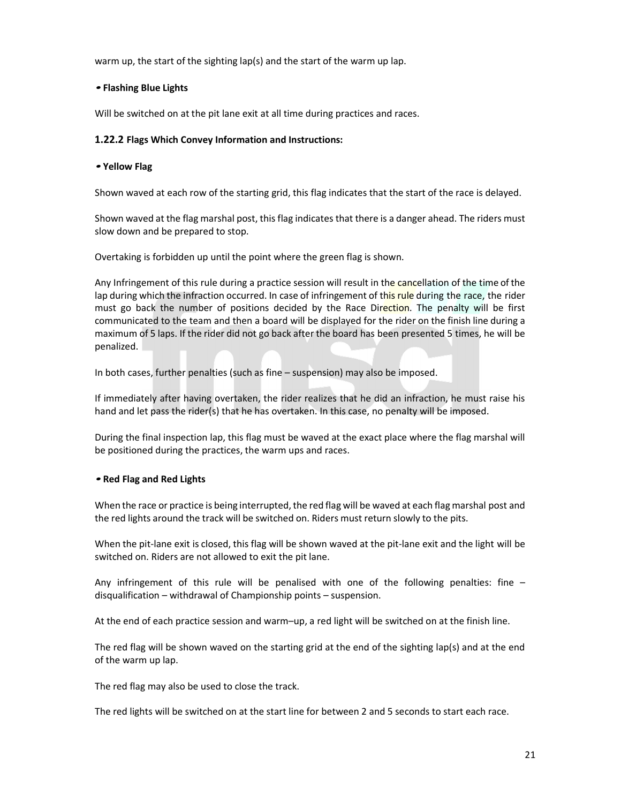warm up, the start of the sighting lap(s) and the start of the warm up lap.

## **• Flashing Blue Lights**

Will be switched on at the pit lane exit at all time during practices and races.

## **1.22.2 Flags Which Convey Information and Instructions:**

## **• Yellow Flag**

Shown waved at each row of the starting grid, this flag indicates that the start of the race is delayed.

Shown waved at the flag marshal post, this flag indicates that there is a danger ahead. The riders must slow down and be prepared to stop.

Overtaking is forbidden up until the point where the green flag is shown.

Any Infringement of this rule during a practice session will result in the cancellation of the time of the lap during which the infraction occurred. In case of infringement of this rule during the race, the rider must go back the number of positions decided by the Race Direction. The penalty will be first communicated to the team and then a board will be displayed for the rider on the finish line during a maximum of 5 laps. If the rider did not go back after the board has been presented 5 times, he will be penalized.

In both cases, further penalties (such as fine – suspension) may also be imposed.

If immediately after having overtaken, the rider realizes that he did an infraction, he must raise his hand and let pass the rider(s) that he has overtaken. In this case, no penalty will be imposed.

During the final inspection lap, this flag must be waved at the exact place where the flag marshal will be positioned during the practices, the warm ups and races.

## **• Red Flag and Red Lights**

When the race or practice is being interrupted, the red flag will be waved at each flag marshal post and the red lights around the track will be switched on. Riders must return slowly to the pits.

When the pit-lane exit is closed, this flag will be shown waved at the pit-lane exit and the light will be switched on. Riders are not allowed to exit the pit lane.

Any infringement of this rule will be penalised with one of the following penalties: fine  $$ disqualification – withdrawal of Championship points – suspension.

At the end of each practice session and warm–up, a red light will be switched on at the finish line.

The red flag will be shown waved on the starting grid at the end of the sighting lap(s) and at the end of the warm up lap.

The red flag may also be used to close the track.

The red lights will be switched on at the start line for between 2 and 5 seconds to start each race.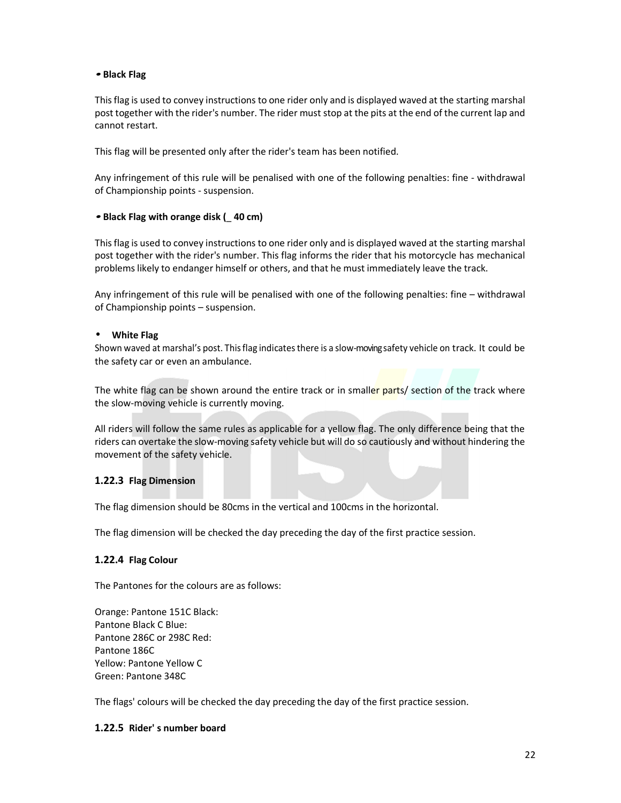## **• Black Flag**

This flag is used to convey instructions to one rider only and is displayed waved at the starting marshal post together with the rider's number. The rider must stop at the pits at the end of the current lap and cannot restart.

This flag will be presented only after the rider's team has been notified.

Any infringement of this rule will be penalised with one of the following penalties: fine - withdrawal of Championship points - suspension.

## **• Black Flag with orange disk (**\_ **40 cm)**

This flag is used to convey instructions to one rider only and is displayed waved at the starting marshal post together with the rider's number. This flag informs the rider that his motorcycle has mechanical problems likely to endanger himself or others, and that he must immediately leave the track.

Any infringement of this rule will be penalised with one of the following penalties: fine – withdrawal of Championship points – suspension.

## • **White Flag**

Shown waved at marshal's post. This flag indicates there is a slow-moving safety vehicle on track. It could be the safety car or even an ambulance.

The white flag can be shown around the entire track or in smaller parts/ section of the track where the slow-moving vehicle is currently moving.

All riders will follow the same rules as applicable for a yellow flag. The only difference being that the riders can overtake the slow-moving safety vehicle but will do so cautiously and without hindering the movement of the safety vehicle.

## **1.22.3 Flag Dimension**

The flag dimension should be 80cms in the vertical and 100cms in the horizontal.

The flag dimension will be checked the day preceding the day of the first practice session.

## **1.22.4 Flag Colour**

The Pantones for the colours are as follows:

Orange: Pantone 151C Black: Pantone Black C Blue: Pantone 286C or 298C Red: Pantone 186C Yellow: Pantone Yellow C Green: Pantone 348C

The flags' colours will be checked the day preceding the day of the first practice session.

## **1.22.5 Rider' s number board**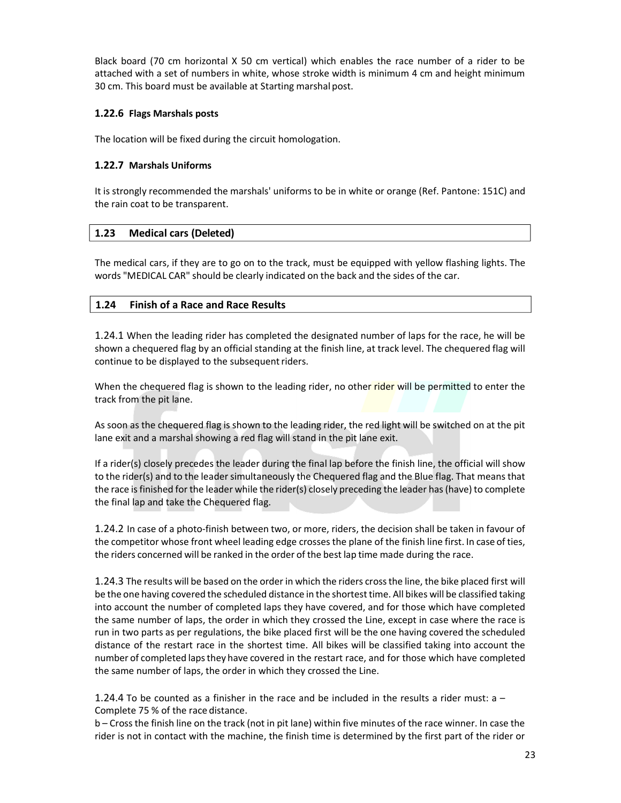Black board (70 cm horizontal X 50 cm vertical) which enables the race number of a rider to be attached with a set of numbers in white, whose stroke width is minimum 4 cm and height minimum 30 cm. This board must be available at Starting marshal post.

## **1.22.6 Flags Marshals posts**

The location will be fixed during the circuit homologation.

## **1.22.7 Marshals Uniforms**

It is strongly recommended the marshals' uniforms to be in white or orange (Ref. Pantone: 151C) and the rain coat to be transparent.

## **1.23 Medical cars (Deleted)**

The medical cars, if they are to go on to the track, must be equipped with yellow flashing lights. The words "MEDICAL CAR" should be clearly indicated on the back and the sides of the car.

## **1.24 Finish of a Race and Race Results**

1.24.1 When the leading rider has completed the designated number of laps for the race, he will be shown a chequered flag by an official standing at the finish line, at track level. The chequered flag will continue to be displayed to the subsequent riders.

When the chequered flag is shown to the leading rider, no other rider will be permitted to enter the track from the pit lane.

As soon as the chequered flag is shown to the leading rider, the red light will be switched on at the pit lane exit and a marshal showing a red flag will stand in the pit lane exit.

If a rider(s) closely precedes the leader during the final lap before the finish line, the official will show to the rider(s) and to the leader simultaneously the Chequered flag and the Blue flag. That means that the race is finished for the leader while the rider(s) closely preceding the leader has (have) to complete the final lap and take the Chequered flag.

1.24.2 In case of a photo-finish between two, or more, riders, the decision shall be taken in favour of the competitor whose front wheel leading edge crosses the plane of the finish line first. In case of ties, the riders concerned will be ranked in the order of the best lap time made during the race.

1.24.3 The results will be based on the order in which the riders cross the line, the bike placed first will be the one having covered the scheduled distance in the shortest time. All bikes will be classified taking into account the number of completed laps they have covered, and for those which have completed the same number of laps, the order in which they crossed the Line, except in case where the race is run in two parts as per regulations, the bike placed first will be the one having covered the scheduled distance of the restart race in the shortest time. All bikes will be classified taking into account the number of completed laps they have covered in the restart race, and for those which have completed the same number of laps, the order in which they crossed the Line.

1.24.4 To be counted as a finisher in the race and be included in the results a rider must:  $a -$ Complete 75 % of the race distance.

b – Cross the finish line on the track (not in pit lane) within five minutes of the race winner. In case the rider is not in contact with the machine, the finish time is determined by the first part of the rider or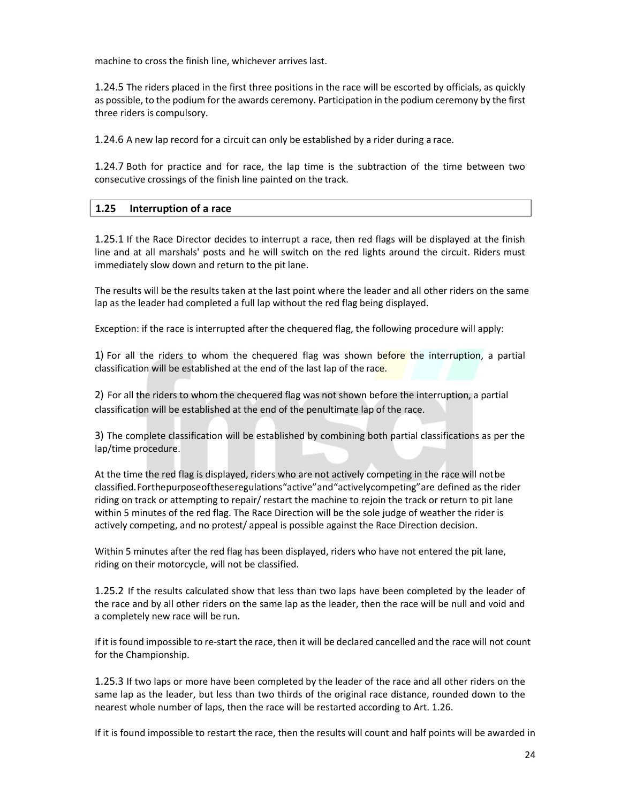machine to cross the finish line, whichever arrives last.

1.24.5 The riders placed in the first three positions in the race will be escorted by officials, as quickly as possible, to the podium for the awards ceremony. Participation in the podium ceremony by the first three riders is compulsory.

1.24.6 A new lap record for a circuit can only be established by a rider during a race.

1.24.7 Both for practice and for race, the lap time is the subtraction of the time between two consecutive crossings of the finish line painted on the track.

## **1.25 Interruption of a race**

1.25.1 If the Race Director decides to interrupt a race, then red flags will be displayed at the finish line and at all marshals' posts and he will switch on the red lights around the circuit. Riders must immediately slow down and return to the pit lane.

The results will be the results taken at the last point where the leader and all other riders on the same lap as the leader had completed a full lap without the red flag being displayed.

Exception: if the race is interrupted after the chequered flag, the following procedure will apply:

1) For all the riders to whom the chequered flag was shown before the interruption, a partial classification will be established at the end of the last lap of the race.

2) For all the riders to whom the chequered flag was not shown before the interruption, a partial classification will be established at the end of the penultimate lap of the race.

3) The complete classification will be established by combining both partial classifications as per the lap/time procedure.

At the time the red flag is displayed, riders who are not actively competing in the race will not be classified. For the purpose of these regulations "active" and "actively competing" are defined as the rider riding on track or attempting to repair/ restart the machine to rejoin the track or return to pit lane within 5 minutes of the red flag. The Race Direction will be the sole judge of weather the rider is actively competing, and no protest/ appeal is possible against the Race Direction decision.

Within 5 minutes after the red flag has been displayed, riders who have not entered the pit lane, riding on their motorcycle, will not be classified.

1.25.2 If the results calculated show that less than two laps have been completed by the leader of the race and by all other riders on the same lap as the leader, then the race will be null and void and a completely new race will be run.

If it is found impossible to re-start the race, then it will be declared cancelled and the race will not count for the Championship.

1.25.3 If two laps or more have been completed by the leader of the race and all other riders on the same lap as the leader, but less than two thirds of the original race distance, rounded down to the nearest whole number of laps, then the race will be restarted according to Art. 1.26.

If it is found impossible to restart the race, then the results will count and half points will be awarded in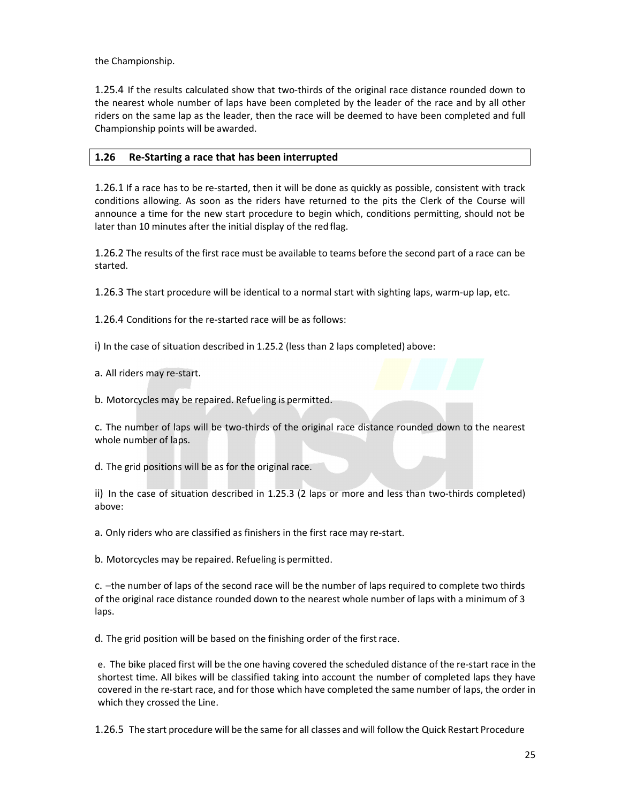the Championship.

1.25.4 If the results calculated show that two-thirds of the original race distance rounded down to the nearest whole number of laps have been completed by the leader of the race and by all other riders on the same lap as the leader, then the race will be deemed to have been completed and full Championship points will be awarded.

## **1.26 Re-Starting a race that has been interrupted**

1.26.1 If a race has to be re-started, then it will be done as quickly as possible, consistent with track conditions allowing. As soon as the riders have returned to the pits the Clerk of the Course will announce a time for the new start procedure to begin which, conditions permitting, should not be later than 10 minutes after the initial display of the red flag.

1.26.2 The results of the first race must be available to teams before the second part of a race can be started.

1.26.3 The start procedure will be identical to a normal start with sighting laps, warm-up lap, etc.

1.26.4 Conditions for the re-started race will be as follows:

i) In the case of situation described in 1.25.2 (less than 2 laps completed) above:

a. All riders may re-start.

b. Motorcycles may be repaired. Refueling is permitted.

c. The number of laps will be two-thirds of the original race distance rounded down to the nearest whole number of laps.

d. The grid positions will be as for the original race.

ii) In the case of situation described in 1.25.3 (2 laps or more and less than two-thirds completed) above:

a. Only riders who are classified as finishers in the first race may re-start.

b. Motorcycles may be repaired. Refueling is permitted.

c. –the number of laps of the second race will be the number of laps required to complete two thirds of the original race distance rounded down to the nearest whole number of laps with a minimum of 3 laps.

d. The grid position will be based on the finishing order of the first race.

e. The bike placed first will be the one having covered the scheduled distance of the re-start race in the shortest time. All bikes will be classified taking into account the number of completed laps they have covered in the re-start race, and for those which have completed the same number of laps, the order in which they crossed the Line.

1.26.5 The start procedure will be the same for all classes and will follow the Quick Restart Procedure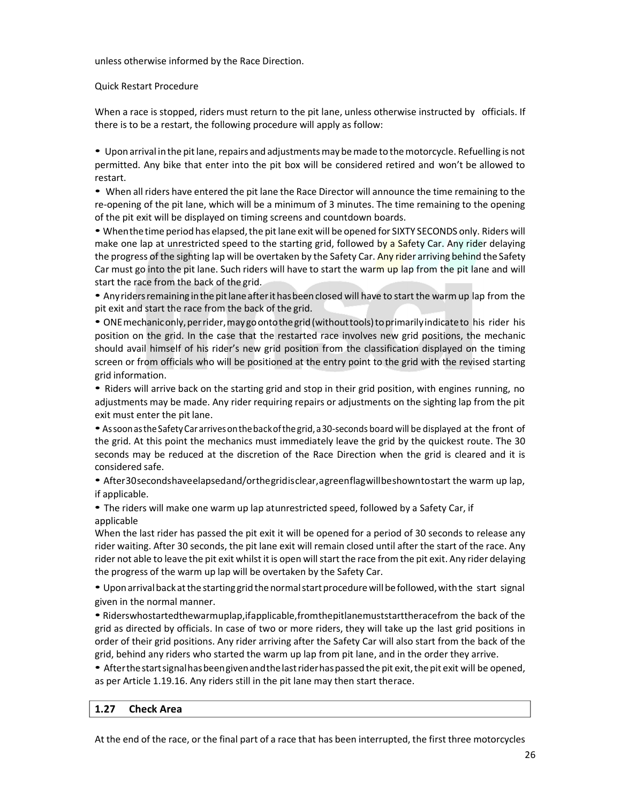unless otherwise informed by the Race Direction.

## Quick Restart Procedure

When a race is stopped, riders must return to the pit lane, unless otherwise instructed by officials. If there is to be a restart, the following procedure will apply as follow:

• Upon arrival in the pit lane, repairs and adjustments may be made to the motorcycle. Refuelling is not permitted. Any bike that enter into the pit box will be considered retired and won't be allowed to restart.

• When all riders have entered the pit lane the Race Director will announce the time remaining to the re-opening of the pit lane, which will be a minimum of 3 minutes. The time remaining to the opening of the pit exit will be displayed on timing screens and countdown boards.

• When the time period has elapsed, the pit lane exit will be opened for SIXTY SECONDS only. Riders will make one lap at unrestricted speed to the starting grid, followed by a Safety Car. Any rider delaying the progress of the sighting lap will be overtaken by the Safety Car. Any rider arriving behind the Safety Car must go into the pit lane. Such riders will have to start the warm up lap from the pit lane and will start the race from the back of the grid.

• Any riders remaining in the pit lane after it has been closed will have to start the warm up lap from the pit exit and start the race from the back of the grid.

• ONE mechanic only, per rider, may go onto the grid (without tools) to primarily indicate to his rider his position on the grid. In the case that the restarted race involves new grid positions, the mechanic should avail himself of his rider's new grid position from the classification displayed on the timing screen or from officials who will be positioned at the entry point to the grid with the revised starting grid information.

• Riders will arrive back on the starting grid and stop in their grid position, with engines running, no adjustments may be made. Any rider requiring repairs or adjustments on the sighting lap from the pit exit must enter the pit lane.

• As soon as the Safety Car arrives on the back of the grid, a 30-seconds board will be displayed at the front of the grid. At this point the mechanics must immediately leave the grid by the quickest route. The 30 seconds may be reduced at the discretion of the Race Direction when the grid is cleared and it is considered safe.

• After 30 seconds have elapsed and/or the grid is clear, a green flag will be shown to start the warm up lap, if applicable.

• The riders will make one warm up lap at unrestricted speed, followed by a Safety Car, if applicable

When the last rider has passed the pit exit it will be opened for a period of 30 seconds to release any rider waiting. After 30 seconds, the pit lane exit will remain closed until after the start of the race. Any rider not able to leave the pit exit whilst it is open will start the race from the pit exit. Any rider delaying the progress of the warm up lap will be overtaken by the Safety Car.

• Upon arrival back at the starting grid the normal start procedure will be followed, with the start signal given in the normal manner.

• Riders who started the warm uplap, if applicable, from the pit lane must start the race from the back of the grid as directed by officials. In case of two or more riders, they will take up the last grid positions in order of their grid positions. Any rider arriving after the Safety Car will also start from the back of the grid, behind any riders who started the warm up lap from pit lane, and in the order they arrive.

• After the start signal has been given and the last rider has passed the pit exit, the pit exit will be opened, as per Article 1.19.16. Any riders still in the pit lane may then start therace.

## **1.27 Check Area**

At the end of the race, or the final part of a race that has been interrupted, the first three motorcycles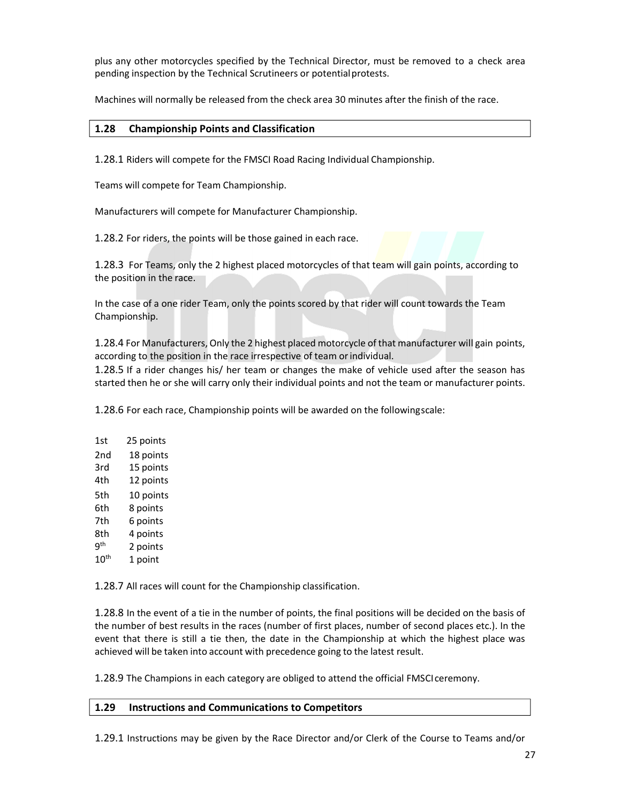plus any other motorcycles specified by the Technical Director, must be removed to a check area pending inspection by the Technical Scrutineers or potential protests.

Machines will normally be released from the check area 30 minutes after the finish of the race.

## **1.28 Championship Points and Classification**

1.28.1 Riders will compete for the FMSCI Road Racing Individual Championship.

Teams will compete for Team Championship.

Manufacturers will compete for Manufacturer Championship.

1.28.2 For riders, the points will be those gained in each race.

1.28.3 For Teams, only the 2 highest placed motorcycles of that team will gain points, according to the position in the race.

In the case of a one rider Team, only the points scored by that rider will count towards the Team Championship.

1.28.4 For Manufacturers, Only the 2 highest placed motorcycle of that manufacturer will gain points, according to the position in the race irrespective of team or individual.

1.28.5 If a rider changes his/ her team or changes the make of vehicle used after the season has started then he or she will carry only their individual points and not the team or manufacturer points.

1.28.6 For each race, Championship points will be awarded on the following scale:

| 1st           | 25 points |
|---------------|-----------|
| 2nd           | 18 points |
| 3rd           | 15 points |
| 4th           | 12 points |
| 5th           | 10 points |
| 6th           | 8 points  |
| 7th           | 6 points  |
| 8th           | 4 points  |
| qth           | 2 points  |
| $10^{\sf th}$ | 1 point   |
|               |           |

1.28.7 All races will count for the Championship classification.

1.28.8 In the event of a tie in the number of points, the final positions will be decided on the basis of the number of best results in the races (number of first places, number of second places etc.). In the event that there is still a tie then, the date in the Championship at which the highest place was achieved will be taken into account with precedence going to the latest result.

1.28.9 The Champions in each category are obliged to attend the official FMSCI ceremony.

## **1.29 Instructions and Communications to Competitors**

1.29.1 Instructions may be given by the Race Director and/or Clerk of the Course to Teams and/or